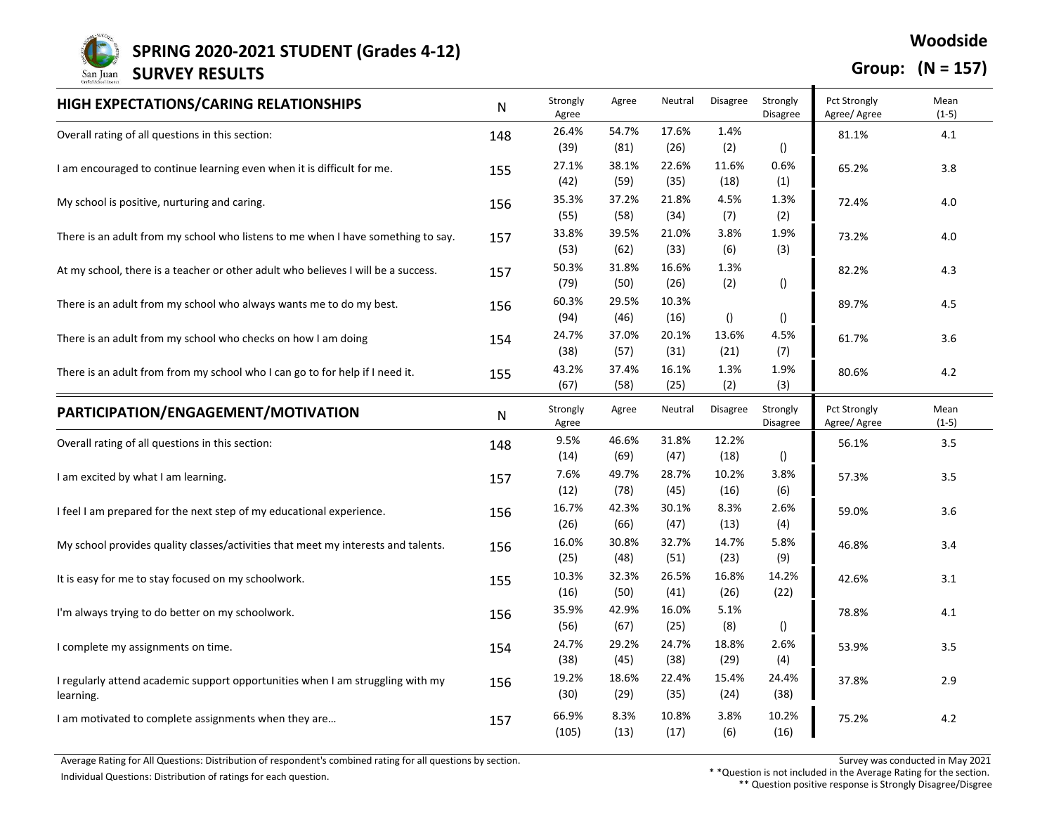

# **SPRING 2020-2021 STUDENT (Grades 4-12)**

## **SURVEY RESULTS**

### **Woodside**

### **Group: (N = 157)**

ř.

| HIGH EXPECTATIONS/CARING RELATIONSHIPS                                                      | N         | Strongly<br>Agree | Agree         | Neutral       | Disagree        | Strongly<br>Disagree | <b>Pct Strongly</b><br>Agree/ Agree | Mean<br>$(1-5)$ |
|---------------------------------------------------------------------------------------------|-----------|-------------------|---------------|---------------|-----------------|----------------------|-------------------------------------|-----------------|
| Overall rating of all questions in this section:                                            | 148       | 26.4%<br>(39)     | 54.7%<br>(81) | 17.6%<br>(26) | 1.4%<br>(2)     | $\left( \right)$     | 81.1%                               | 4.1             |
| I am encouraged to continue learning even when it is difficult for me.                      | 155       | 27.1%<br>(42)     | 38.1%<br>(59) | 22.6%<br>(35) | 11.6%<br>(18)   | 0.6%<br>(1)          | 65.2%                               | 3.8             |
| My school is positive, nurturing and caring.                                                | 156       | 35.3%<br>(55)     | 37.2%<br>(58) | 21.8%<br>(34) | 4.5%<br>(7)     | 1.3%<br>(2)          | 72.4%                               | 4.0             |
| There is an adult from my school who listens to me when I have something to say.            | 157       | 33.8%<br>(53)     | 39.5%<br>(62) | 21.0%<br>(33) | 3.8%<br>(6)     | 1.9%<br>(3)          | 73.2%                               | 4.0             |
| At my school, there is a teacher or other adult who believes I will be a success.           | 157       | 50.3%<br>(79)     | 31.8%<br>(50) | 16.6%<br>(26) | 1.3%<br>(2)     | $\left( \right)$     | 82.2%                               | 4.3             |
| There is an adult from my school who always wants me to do my best.                         | 156       | 60.3%<br>(94)     | 29.5%<br>(46) | 10.3%<br>(16) | ()              | $\left( \right)$     | 89.7%                               | 4.5             |
| There is an adult from my school who checks on how I am doing                               | 154       | 24.7%<br>(38)     | 37.0%<br>(57) | 20.1%<br>(31) | 13.6%<br>(21)   | 4.5%<br>(7)          | 61.7%                               | 3.6             |
| There is an adult from from my school who I can go to for help if I need it.                | 155       | 43.2%<br>(67)     | 37.4%<br>(58) | 16.1%<br>(25) | 1.3%<br>(2)     | 1.9%<br>(3)          | 80.6%                               | 4.2             |
| PARTICIPATION/ENGAGEMENT/MOTIVATION                                                         | ${\sf N}$ | Strongly<br>Agree | Agree         | Neutral       | <b>Disagree</b> | Strongly<br>Disagree | Pct Strongly<br>Agree/Agree         | Mean<br>$(1-5)$ |
| Overall rating of all questions in this section:                                            | 148       | 9.5%<br>(14)      | 46.6%<br>(69) | 31.8%<br>(47) | 12.2%<br>(18)   | $\left( \right)$     | 56.1%                               | 3.5             |
| I am excited by what I am learning.                                                         | 157       | 7.6%<br>(12)      | 49.7%<br>(78) | 28.7%<br>(45) | 10.2%<br>(16)   | 3.8%<br>(6)          | 57.3%                               | 3.5             |
| I feel I am prepared for the next step of my educational experience.                        | 156       | 16.7%<br>(26)     | 42.3%<br>(66) | 30.1%<br>(47) | 8.3%<br>(13)    | 2.6%<br>(4)          | 59.0%                               | 3.6             |
| My school provides quality classes/activities that meet my interests and talents.           | 156       | 16.0%<br>(25)     | 30.8%<br>(48) | 32.7%<br>(51) | 14.7%<br>(23)   | 5.8%<br>(9)          | 46.8%                               | 3.4             |
| It is easy for me to stay focused on my schoolwork.                                         | 155       | 10.3%<br>(16)     | 32.3%<br>(50) | 26.5%<br>(41) | 16.8%<br>(26)   | 14.2%<br>(22)        | 42.6%                               | 3.1             |
| I'm always trying to do better on my schoolwork.                                            | 156       | 35.9%<br>(56)     | 42.9%<br>(67) | 16.0%<br>(25) | 5.1%<br>(8)     | $\left( \right)$     | 78.8%                               | 4.1             |
| I complete my assignments on time.                                                          | 154       | 24.7%<br>(38)     | 29.2%<br>(45) | 24.7%<br>(38) | 18.8%<br>(29)   | 2.6%<br>(4)          | 53.9%                               | 3.5             |
| I regularly attend academic support opportunities when I am struggling with my<br>learning. | 156       | 19.2%<br>(30)     | 18.6%<br>(29) | 22.4%<br>(35) | 15.4%<br>(24)   | 24.4%<br>(38)        | 37.8%                               | 2.9             |
| I am motivated to complete assignments when they are                                        | 157       | 66.9%<br>(105)    | 8.3%<br>(13)  | 10.8%<br>(17) | 3.8%<br>(6)     | 10.2%<br>(16)        | 75.2%                               | 4.2             |

Average Rating for All Questions: Distribution of respondent's combined rating for all questions by section. Survey was conducted in May 2021

Individual Questions: Distribution of ratings for each question. \* \*Question is not included in the Average Rating for the section. \*\* Question positive response is Strongly Disagree/Disgree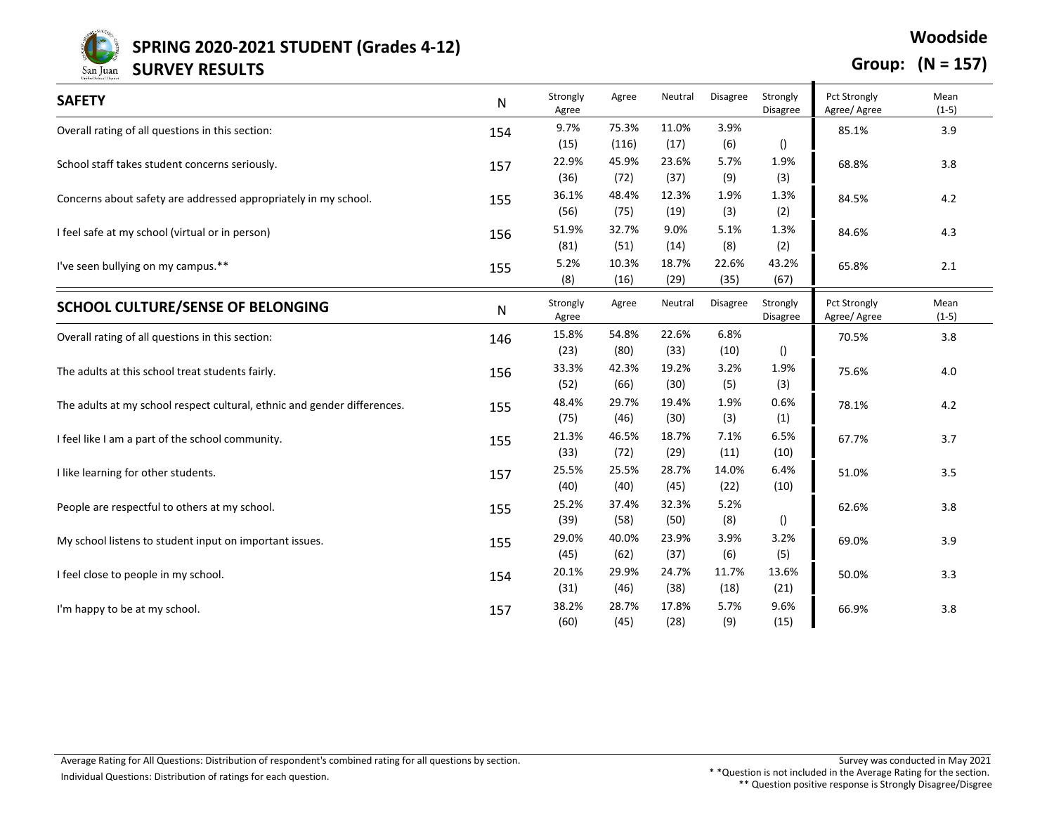San Juan

## **SPRING 2020-2021 STUDENT (Grades 4-12)**

### **SURVEY RESULTS**

**Group: (N = 157)**

| <b>SAFETY</b>                                                            | N         | Strongly<br>Agree | Agree | Neutral | <b>Disagree</b> | Strongly<br><b>Disagree</b> | Pct Strongly<br>Agree/ Agree        | Mean<br>$(1-5)$ |
|--------------------------------------------------------------------------|-----------|-------------------|-------|---------|-----------------|-----------------------------|-------------------------------------|-----------------|
| Overall rating of all questions in this section:                         | 154       | 9.7%              | 75.3% | 11.0%   | 3.9%            |                             | 85.1%                               | 3.9             |
|                                                                          |           | (15)              | (116) | (17)    | (6)             | $\left( \right)$            |                                     |                 |
| School staff takes student concerns seriously.                           | 157       | 22.9%             | 45.9% | 23.6%   | 5.7%            | 1.9%                        | 68.8%                               | 3.8             |
|                                                                          |           | (36)              | (72)  | (37)    | (9)             | (3)                         |                                     |                 |
| Concerns about safety are addressed appropriately in my school.          | 155       | 36.1%             | 48.4% | 12.3%   | 1.9%            | 1.3%                        | 84.5%                               | 4.2             |
|                                                                          |           | (56)              | (75)  | (19)    | (3)             | (2)                         |                                     |                 |
| I feel safe at my school (virtual or in person)                          | 156       | 51.9%             | 32.7% | 9.0%    | 5.1%            | 1.3%                        | 84.6%                               | 4.3             |
|                                                                          |           | (81)              | (51)  | (14)    | (8)             | (2)                         |                                     |                 |
| I've seen bullying on my campus.**                                       | 155       | 5.2%              | 10.3% | 18.7%   | 22.6%           | 43.2%                       | 65.8%                               | 2.1             |
|                                                                          |           | (8)               | (16)  | (29)    | (35)            | (67)                        |                                     |                 |
| <b>SCHOOL CULTURE/SENSE OF BELONGING</b>                                 | ${\sf N}$ | Strongly<br>Agree | Agree | Neutral | Disagree        | Strongly<br>Disagree        | <b>Pct Strongly</b><br>Agree/ Agree | Mean<br>$(1-5)$ |
| Overall rating of all questions in this section:                         | 146       | 15.8%             | 54.8% | 22.6%   | 6.8%            |                             | 70.5%                               | 3.8             |
|                                                                          |           | (23)              | (80)  | (33)    | (10)            | $\left( \right)$            |                                     |                 |
| The adults at this school treat students fairly.                         | 156       | 33.3%             | 42.3% | 19.2%   | 3.2%            | 1.9%                        | 75.6%                               | 4.0             |
|                                                                          |           | (52)              | (66)  | (30)    | (5)             | (3)                         |                                     |                 |
| The adults at my school respect cultural, ethnic and gender differences. | 155       | 48.4%             | 29.7% | 19.4%   | 1.9%            | 0.6%                        | 78.1%                               | 4.2             |
|                                                                          |           | (75)              | (46)  | (30)    | (3)             | (1)                         |                                     |                 |
| I feel like I am a part of the school community.                         | 155       | 21.3%             | 46.5% | 18.7%   | 7.1%            | 6.5%                        | 67.7%                               | 3.7             |
|                                                                          |           | (33)              | (72)  | (29)    | (11)            | (10)                        |                                     |                 |
| I like learning for other students.                                      | 157       | 25.5%             | 25.5% | 28.7%   | 14.0%           | 6.4%                        | 51.0%                               | 3.5             |
|                                                                          |           | (40)              | (40)  | (45)    | (22)            | (10)                        |                                     |                 |
| People are respectful to others at my school.                            | 155       | 25.2%             | 37.4% | 32.3%   | 5.2%            |                             | 62.6%                               | 3.8             |
|                                                                          |           | (39)              | (58)  | (50)    | (8)             | $\left( \right)$            |                                     |                 |
| My school listens to student input on important issues.                  | 155       | 29.0%             | 40.0% | 23.9%   | 3.9%            | 3.2%                        | 69.0%                               | 3.9             |
|                                                                          |           | (45)              | (62)  | (37)    | (6)             | (5)                         |                                     |                 |
| I feel close to people in my school.                                     | 154       | 20.1%             | 29.9% | 24.7%   | 11.7%           | 13.6%                       | 50.0%                               | 3.3             |
|                                                                          |           | (31)              | (46)  | (38)    | (18)            | (21)                        |                                     |                 |
| I'm happy to be at my school.                                            | 157       | 38.2%             | 28.7% | 17.8%   | 5.7%            | 9.6%                        | 66.9%                               | 3.8             |
|                                                                          |           | (60)              | (45)  | (28)    | (9)             | (15)                        |                                     |                 |